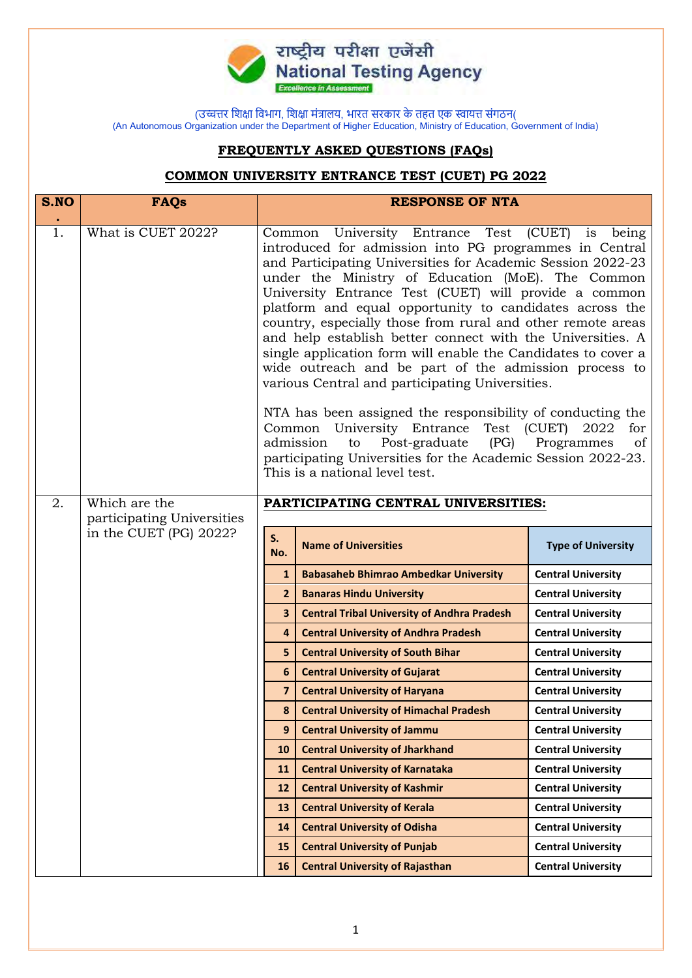

## **FREQUENTLY ASKED QUESTIONS (FAQs)**

## **COMMON UNIVERSITY ENTRANCE TEST (CUET) PG 2022**

| S.NO | <b>FAQs</b>                |                                                                                                                                                                                                                                                                                                                                                                                                                                                                                                                                                                                                                                                                                                                                                                                                                                                                                                                                                                  | <b>RESPONSE OF NTA</b>                             |                           |
|------|----------------------------|------------------------------------------------------------------------------------------------------------------------------------------------------------------------------------------------------------------------------------------------------------------------------------------------------------------------------------------------------------------------------------------------------------------------------------------------------------------------------------------------------------------------------------------------------------------------------------------------------------------------------------------------------------------------------------------------------------------------------------------------------------------------------------------------------------------------------------------------------------------------------------------------------------------------------------------------------------------|----------------------------------------------------|---------------------------|
| 1.   | What is CUET 2022?         | University Entrance Test (CUET)<br>being<br>Common<br>is<br>introduced for admission into PG programmes in Central<br>and Participating Universities for Academic Session 2022-23<br>under the Ministry of Education (MoE). The Common<br>University Entrance Test (CUET) will provide a common<br>platform and equal opportunity to candidates across the<br>country, especially those from rural and other remote areas<br>and help establish better connect with the Universities. A<br>single application form will enable the Candidates to cover a<br>wide outreach and be part of the admission process to<br>various Central and participating Universities.<br>NTA has been assigned the responsibility of conducting the<br>Common University Entrance<br>Test (CUET)<br>2022<br>for<br>Post-graduate<br>(PG)<br>Programmes<br>admission<br>to<br>of<br>participating Universities for the Academic Session 2022-23.<br>This is a national level test. |                                                    |                           |
| 2.   | Which are the              |                                                                                                                                                                                                                                                                                                                                                                                                                                                                                                                                                                                                                                                                                                                                                                                                                                                                                                                                                                  | PARTICIPATING CENTRAL UNIVERSITIES:                |                           |
|      | participating Universities |                                                                                                                                                                                                                                                                                                                                                                                                                                                                                                                                                                                                                                                                                                                                                                                                                                                                                                                                                                  |                                                    |                           |
|      | in the CUET (PG) 2022?     | S.<br>No.                                                                                                                                                                                                                                                                                                                                                                                                                                                                                                                                                                                                                                                                                                                                                                                                                                                                                                                                                        | <b>Name of Universities</b>                        | <b>Type of University</b> |
|      |                            | $\mathbf{1}$                                                                                                                                                                                                                                                                                                                                                                                                                                                                                                                                                                                                                                                                                                                                                                                                                                                                                                                                                     | <b>Babasaheb Bhimrao Ambedkar University</b>       | <b>Central University</b> |
|      |                            | $\overline{2}$                                                                                                                                                                                                                                                                                                                                                                                                                                                                                                                                                                                                                                                                                                                                                                                                                                                                                                                                                   | <b>Banaras Hindu University</b>                    | <b>Central University</b> |
|      |                            | $\overline{\mathbf{3}}$                                                                                                                                                                                                                                                                                                                                                                                                                                                                                                                                                                                                                                                                                                                                                                                                                                                                                                                                          | <b>Central Tribal University of Andhra Pradesh</b> | <b>Central University</b> |
|      |                            | $\overline{4}$                                                                                                                                                                                                                                                                                                                                                                                                                                                                                                                                                                                                                                                                                                                                                                                                                                                                                                                                                   | <b>Central University of Andhra Pradesh</b>        | <b>Central University</b> |
|      |                            | 5                                                                                                                                                                                                                                                                                                                                                                                                                                                                                                                                                                                                                                                                                                                                                                                                                                                                                                                                                                | <b>Central University of South Bihar</b>           | <b>Central University</b> |
|      |                            | 6                                                                                                                                                                                                                                                                                                                                                                                                                                                                                                                                                                                                                                                                                                                                                                                                                                                                                                                                                                | <b>Central University of Gujarat</b>               | <b>Central University</b> |
|      |                            | $\overline{7}$                                                                                                                                                                                                                                                                                                                                                                                                                                                                                                                                                                                                                                                                                                                                                                                                                                                                                                                                                   | <b>Central University of Haryana</b>               | <b>Central University</b> |
|      |                            | 8                                                                                                                                                                                                                                                                                                                                                                                                                                                                                                                                                                                                                                                                                                                                                                                                                                                                                                                                                                | <b>Central University of Himachal Pradesh</b>      | <b>Central University</b> |
|      |                            | 9                                                                                                                                                                                                                                                                                                                                                                                                                                                                                                                                                                                                                                                                                                                                                                                                                                                                                                                                                                | <b>Central University of Jammu</b>                 | <b>Central University</b> |
|      |                            | 10                                                                                                                                                                                                                                                                                                                                                                                                                                                                                                                                                                                                                                                                                                                                                                                                                                                                                                                                                               | <b>Central University of Jharkhand</b>             | <b>Central University</b> |
|      |                            | 11                                                                                                                                                                                                                                                                                                                                                                                                                                                                                                                                                                                                                                                                                                                                                                                                                                                                                                                                                               | <b>Central University of Karnataka</b>             | <b>Central University</b> |
|      |                            | 12                                                                                                                                                                                                                                                                                                                                                                                                                                                                                                                                                                                                                                                                                                                                                                                                                                                                                                                                                               | <b>Central University of Kashmir</b>               | <b>Central University</b> |
|      |                            | 13                                                                                                                                                                                                                                                                                                                                                                                                                                                                                                                                                                                                                                                                                                                                                                                                                                                                                                                                                               | <b>Central University of Kerala</b>                | <b>Central University</b> |
|      |                            | 14                                                                                                                                                                                                                                                                                                                                                                                                                                                                                                                                                                                                                                                                                                                                                                                                                                                                                                                                                               | <b>Central University of Odisha</b>                | <b>Central University</b> |
|      |                            | 15                                                                                                                                                                                                                                                                                                                                                                                                                                                                                                                                                                                                                                                                                                                                                                                                                                                                                                                                                               | <b>Central University of Punjab</b>                | <b>Central University</b> |
|      |                            | 16                                                                                                                                                                                                                                                                                                                                                                                                                                                                                                                                                                                                                                                                                                                                                                                                                                                                                                                                                               | <b>Central University of Rajasthan</b>             | <b>Central University</b> |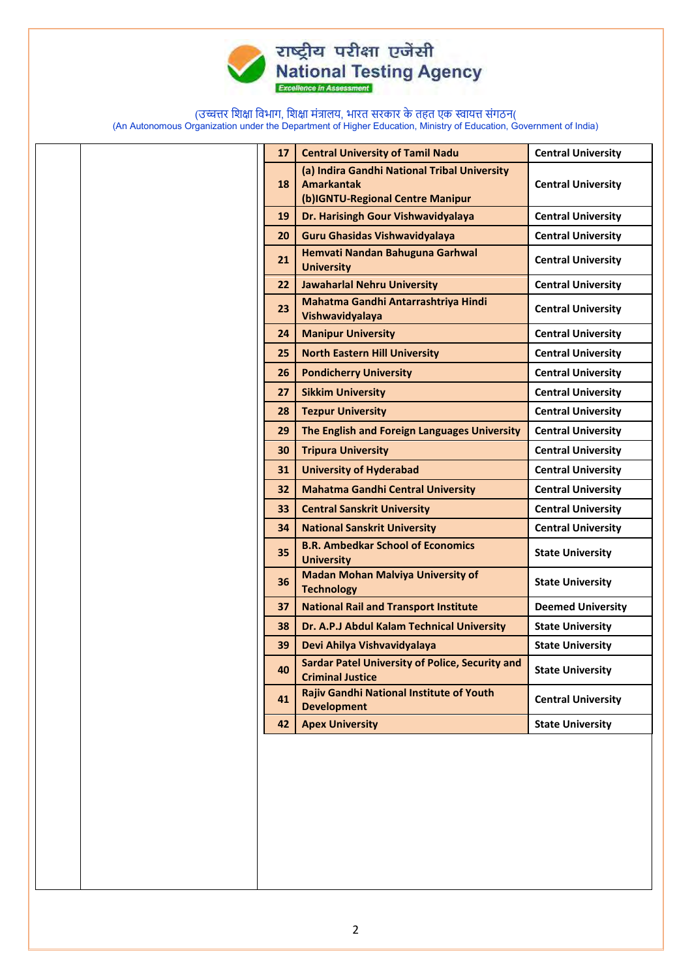

## राष्ट्रीय परीक्षा एजेंसी<br>National Testing Agency

(उच्चत्तर शिक्षा शिभाग, शिक्षा मंत्रालय, भारत सरकार के तहत एक स्वायत्त संगठन(

(An Autonomous Organization under the Department of Higher Education, Ministry of Education, Government of India)

| 17 |                                                                                   | <b>Central University</b>                                                                                                                                                                                                             |
|----|-----------------------------------------------------------------------------------|---------------------------------------------------------------------------------------------------------------------------------------------------------------------------------------------------------------------------------------|
|    |                                                                                   |                                                                                                                                                                                                                                       |
| 18 | <b>Amarkantak</b>                                                                 | <b>Central University</b>                                                                                                                                                                                                             |
|    |                                                                                   |                                                                                                                                                                                                                                       |
|    |                                                                                   | <b>Central University</b>                                                                                                                                                                                                             |
| 20 |                                                                                   | <b>Central University</b>                                                                                                                                                                                                             |
| 21 | <b>University</b>                                                                 | <b>Central University</b>                                                                                                                                                                                                             |
| 22 | <b>Jawaharlal Nehru University</b>                                                | <b>Central University</b>                                                                                                                                                                                                             |
| 23 | Mahatma Gandhi Antarrashtriya Hindi<br>Vishwavidyalaya                            | <b>Central University</b>                                                                                                                                                                                                             |
| 24 | <b>Manipur University</b>                                                         | <b>Central University</b>                                                                                                                                                                                                             |
| 25 | <b>North Eastern Hill University</b>                                              | <b>Central University</b>                                                                                                                                                                                                             |
| 26 | <b>Pondicherry University</b>                                                     | <b>Central University</b>                                                                                                                                                                                                             |
| 27 | <b>Sikkim University</b>                                                          | <b>Central University</b>                                                                                                                                                                                                             |
| 28 | <b>Tezpur University</b>                                                          | <b>Central University</b>                                                                                                                                                                                                             |
| 29 | The English and Foreign Languages University                                      | <b>Central University</b>                                                                                                                                                                                                             |
| 30 | <b>Tripura University</b>                                                         | <b>Central University</b>                                                                                                                                                                                                             |
| 31 | <b>University of Hyderabad</b>                                                    | <b>Central University</b>                                                                                                                                                                                                             |
| 32 | <b>Mahatma Gandhi Central University</b>                                          | <b>Central University</b>                                                                                                                                                                                                             |
| 33 | <b>Central Sanskrit University</b>                                                | <b>Central University</b>                                                                                                                                                                                                             |
| 34 | <b>National Sanskrit University</b>                                               | <b>Central University</b>                                                                                                                                                                                                             |
| 35 | <b>B.R. Ambedkar School of Economics</b><br><b>University</b>                     | <b>State University</b>                                                                                                                                                                                                               |
| 36 | <b>Madan Mohan Malviya University of</b><br><b>Technology</b>                     | <b>State University</b>                                                                                                                                                                                                               |
| 37 | <b>National Rail and Transport Institute</b>                                      | <b>Deemed University</b>                                                                                                                                                                                                              |
| 38 | Dr. A.P.J Abdul Kalam Technical University                                        | <b>State University</b>                                                                                                                                                                                                               |
| 39 | Devi Ahilya Vishvavidyalaya                                                       | <b>State University</b>                                                                                                                                                                                                               |
| 40 | <b>Sardar Patel University of Police, Security and</b><br><b>Criminal Justice</b> | <b>State University</b>                                                                                                                                                                                                               |
| 41 | <b>Rajiv Gandhi National Institute of Youth</b><br><b>Development</b>             | <b>Central University</b>                                                                                                                                                                                                             |
| 42 | <b>Apex University</b>                                                            | <b>State University</b>                                                                                                                                                                                                               |
|    |                                                                                   |                                                                                                                                                                                                                                       |
|    | 19                                                                                | <b>Central University of Tamil Nadu</b><br>(a) Indira Gandhi National Tribal University<br>(b)IGNTU-Regional Centre Manipur<br>Dr. Harisingh Gour Vishwavidyalaya<br>Guru Ghasidas Vishwavidyalaya<br>Hemvati Nandan Bahuguna Garhwal |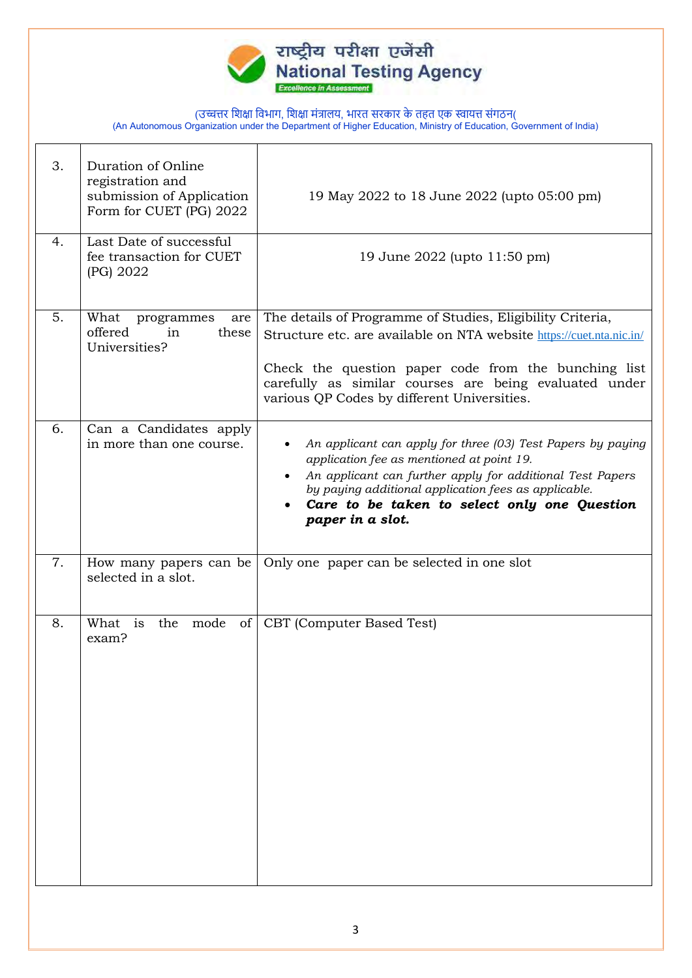

| 3. | Duration of Online<br>registration and<br>submission of Application<br>Form for CUET (PG) 2022 | 19 May 2022 to 18 June 2022 (upto 05:00 pm)                                                                                                                                                                                                                                                         |
|----|------------------------------------------------------------------------------------------------|-----------------------------------------------------------------------------------------------------------------------------------------------------------------------------------------------------------------------------------------------------------------------------------------------------|
| 4. | Last Date of successful<br>fee transaction for CUET<br>(PG) 2022                               | 19 June 2022 (upto 11:50 pm)                                                                                                                                                                                                                                                                        |
| 5. | What<br>programmes<br>are<br>offered<br>in<br>these<br>Universities?                           | The details of Programme of Studies, Eligibility Criteria,<br>Structure etc. are available on NTA website https://cuet.nta.nic.in/<br>Check the question paper code from the bunching list<br>carefully as similar courses are being evaluated under<br>various QP Codes by different Universities. |
| 6. | Can a Candidates apply<br>in more than one course.                                             | An applicant can apply for three (03) Test Papers by paying<br>application fee as mentioned at point 19.<br>An applicant can further apply for additional Test Papers<br>by paying additional application fees as applicable.<br>Care to be taken to select only one Question<br>paper in a slot.   |
| 7. | How many papers can be<br>selected in a slot.                                                  | Only one paper can be selected in one slot                                                                                                                                                                                                                                                          |
| 8. | What is<br>mode<br>the<br>of <sub>l</sub><br>exam?                                             | CBT (Computer Based Test)                                                                                                                                                                                                                                                                           |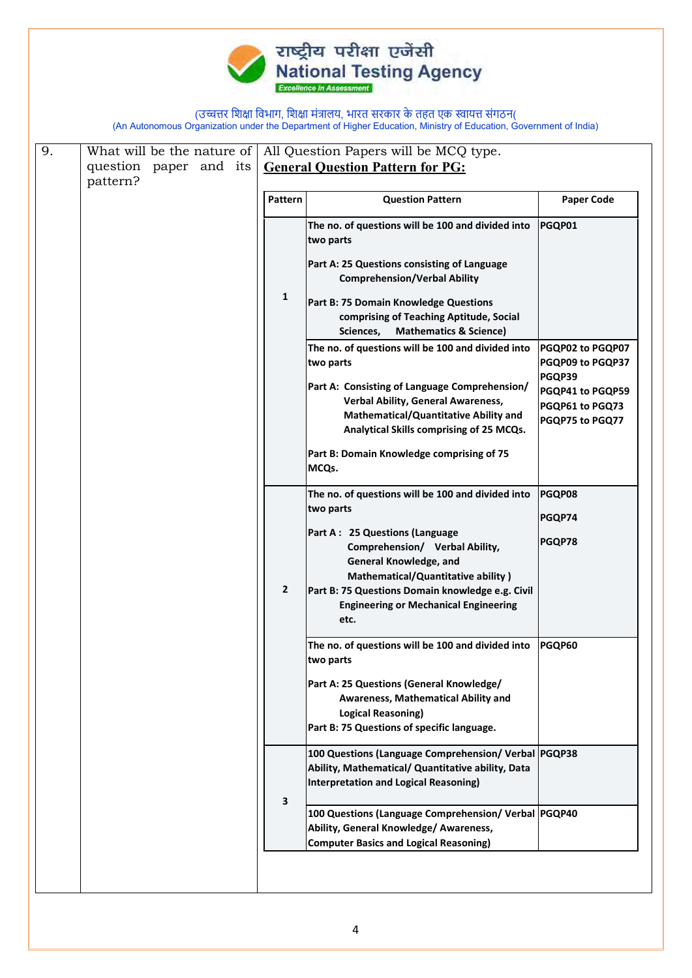

| question paper and its | Pattern<br>1 | <b>General Question Pattern for PG:</b><br><b>Question Pattern</b><br>The no. of questions will be 100 and divided into<br>two parts<br>Part A: 25 Questions consisting of Language<br><b>Comprehension/Verbal Ability</b><br>Part B: 75 Domain Knowledge Questions<br>comprising of Teaching Aptitude, Social<br>Sciences,<br><b>Mathematics &amp; Science)</b><br>The no. of questions will be 100 and divided into<br>two parts<br>Part A: Consisting of Language Comprehension/<br>Verbal Ability, General Awareness,<br>Mathematical/Quantitative Ability and<br>Analytical Skills comprising of 25 MCQs. | <b>Paper Code</b><br>PGQP01<br>PGQP02 to PGQP07<br>PGQP09 to PGQP37<br>PGQP39<br>PGQP41 to PGQP59<br>PGQP61 to PGQ73                                                                                                                                                                                                                                                                                                                                    |
|------------------------|--------------|----------------------------------------------------------------------------------------------------------------------------------------------------------------------------------------------------------------------------------------------------------------------------------------------------------------------------------------------------------------------------------------------------------------------------------------------------------------------------------------------------------------------------------------------------------------------------------------------------------------|---------------------------------------------------------------------------------------------------------------------------------------------------------------------------------------------------------------------------------------------------------------------------------------------------------------------------------------------------------------------------------------------------------------------------------------------------------|
|                        |              |                                                                                                                                                                                                                                                                                                                                                                                                                                                                                                                                                                                                                |                                                                                                                                                                                                                                                                                                                                                                                                                                                         |
|                        |              |                                                                                                                                                                                                                                                                                                                                                                                                                                                                                                                                                                                                                |                                                                                                                                                                                                                                                                                                                                                                                                                                                         |
|                        |              |                                                                                                                                                                                                                                                                                                                                                                                                                                                                                                                                                                                                                |                                                                                                                                                                                                                                                                                                                                                                                                                                                         |
|                        |              |                                                                                                                                                                                                                                                                                                                                                                                                                                                                                                                                                                                                                |                                                                                                                                                                                                                                                                                                                                                                                                                                                         |
|                        |              |                                                                                                                                                                                                                                                                                                                                                                                                                                                                                                                                                                                                                |                                                                                                                                                                                                                                                                                                                                                                                                                                                         |
|                        |              |                                                                                                                                                                                                                                                                                                                                                                                                                                                                                                                                                                                                                |                                                                                                                                                                                                                                                                                                                                                                                                                                                         |
|                        |              |                                                                                                                                                                                                                                                                                                                                                                                                                                                                                                                                                                                                                |                                                                                                                                                                                                                                                                                                                                                                                                                                                         |
|                        |              |                                                                                                                                                                                                                                                                                                                                                                                                                                                                                                                                                                                                                |                                                                                                                                                                                                                                                                                                                                                                                                                                                         |
|                        |              |                                                                                                                                                                                                                                                                                                                                                                                                                                                                                                                                                                                                                | PGQP75 to PGQ77                                                                                                                                                                                                                                                                                                                                                                                                                                         |
|                        |              | Part B: Domain Knowledge comprising of 75<br>MCQs.                                                                                                                                                                                                                                                                                                                                                                                                                                                                                                                                                             |                                                                                                                                                                                                                                                                                                                                                                                                                                                         |
|                        |              | The no. of questions will be 100 and divided into                                                                                                                                                                                                                                                                                                                                                                                                                                                                                                                                                              | PGQP08                                                                                                                                                                                                                                                                                                                                                                                                                                                  |
|                        |              |                                                                                                                                                                                                                                                                                                                                                                                                                                                                                                                                                                                                                | PGQP74                                                                                                                                                                                                                                                                                                                                                                                                                                                  |
|                        | $\mathbf{2}$ | Comprehension/ Verbal Ability,<br>General Knowledge, and<br>Mathematical/Quantitative ability)<br><b>Engineering or Mechanical Engineering</b>                                                                                                                                                                                                                                                                                                                                                                                                                                                                 | PGQP78                                                                                                                                                                                                                                                                                                                                                                                                                                                  |
|                        |              | etc.                                                                                                                                                                                                                                                                                                                                                                                                                                                                                                                                                                                                           |                                                                                                                                                                                                                                                                                                                                                                                                                                                         |
|                        |              | The no. of questions will be 100 and divided into                                                                                                                                                                                                                                                                                                                                                                                                                                                                                                                                                              | PGQP60                                                                                                                                                                                                                                                                                                                                                                                                                                                  |
|                        |              | Awareness, Mathematical Ability and<br><b>Logical Reasoning)</b>                                                                                                                                                                                                                                                                                                                                                                                                                                                                                                                                               |                                                                                                                                                                                                                                                                                                                                                                                                                                                         |
|                        |              |                                                                                                                                                                                                                                                                                                                                                                                                                                                                                                                                                                                                                |                                                                                                                                                                                                                                                                                                                                                                                                                                                         |
|                        | 3            | 100 Questions (Language Comprehension/ Verbal PGQP40                                                                                                                                                                                                                                                                                                                                                                                                                                                                                                                                                           |                                                                                                                                                                                                                                                                                                                                                                                                                                                         |
|                        |              |                                                                                                                                                                                                                                                                                                                                                                                                                                                                                                                                                                                                                | two parts<br>Part A: 25 Questions (Language<br>Part B: 75 Questions Domain knowledge e.g. Civil<br>two parts<br>Part A: 25 Questions (General Knowledge/<br>Part B: 75 Questions of specific language.<br>100 Questions (Language Comprehension/ Verbal PGQP38<br>Ability, Mathematical/ Quantitative ability, Data<br>Interpretation and Logical Reasoning)<br>Ability, General Knowledge/ Awareness,<br><b>Computer Basics and Logical Reasoning)</b> |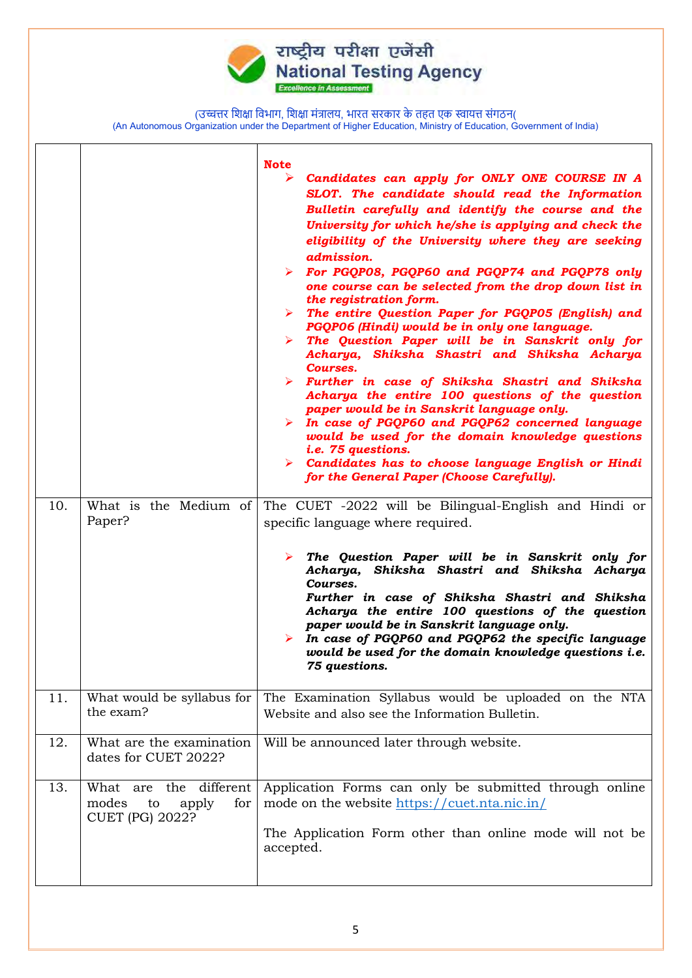

| 10. | What is the Medium of<br>Paper?                                                 | <b>Note</b><br>➤<br>Candidates can apply for ONLY ONE COURSE IN A<br>SLOT. The candidate should read the Information<br>Bulletin carefully and identify the course and the<br>University for which he/she is applying and check the<br>eligibility of the University where they are seeking<br>admission.<br>> For PGQP08, PGQP60 and PGQP74 and PGQP78 only<br>one course can be selected from the drop down list in<br>the registration form.<br>$\triangleright$ The entire Question Paper for PGQP05 (English) and<br>PGQP06 (Hindi) would be in only one language.<br>$\triangleright$ The Question Paper will be in Sanskrit only for<br>Acharya, Shiksha Shastri and Shiksha Acharya<br>Courses.<br>> Further in case of Shiksha Shastri and Shiksha<br>Acharya the entire 100 questions of the question<br>paper would be in Sanskrit language only.<br>$\triangleright$ In case of PGQP60 and PGQP62 concerned language<br>would be used for the domain knowledge questions<br>i.e. 75 questions.<br>$\triangleright$ Candidates has to choose language English or Hindi<br>for the General Paper (Choose Carefully).<br>The CUET -2022 will be Bilingual-English and Hindi or |  |
|-----|---------------------------------------------------------------------------------|-----------------------------------------------------------------------------------------------------------------------------------------------------------------------------------------------------------------------------------------------------------------------------------------------------------------------------------------------------------------------------------------------------------------------------------------------------------------------------------------------------------------------------------------------------------------------------------------------------------------------------------------------------------------------------------------------------------------------------------------------------------------------------------------------------------------------------------------------------------------------------------------------------------------------------------------------------------------------------------------------------------------------------------------------------------------------------------------------------------------------------------------------------------------------------------------|--|
|     |                                                                                 | specific language where required.<br>The Question Paper will be in Sanskrit only for<br>➤<br>Acharya, Shiksha Shastri and Shiksha Acharya<br>Courses.<br>Further in case of Shiksha Shastri and Shiksha<br>Acharya the entire 100 questions of the question<br>paper would be in Sanskrit language only.<br>In case of PGQP60 and PGQP62 the specific language<br>➤<br>would be used for the domain knowledge questions i.e.<br>75 questions.                                                                                                                                                                                                                                                                                                                                                                                                                                                                                                                                                                                                                                                                                                                                           |  |
| 11. | What would be syllabus for<br>the exam?                                         | The Examination Syllabus would be uploaded on the NTA<br>Website and also see the Information Bulletin.                                                                                                                                                                                                                                                                                                                                                                                                                                                                                                                                                                                                                                                                                                                                                                                                                                                                                                                                                                                                                                                                                 |  |
| 12. | What are the examination<br>dates for CUET 2022?                                | Will be announced later through website.                                                                                                                                                                                                                                                                                                                                                                                                                                                                                                                                                                                                                                                                                                                                                                                                                                                                                                                                                                                                                                                                                                                                                |  |
| 13. | What are the different<br>modes<br>to<br>apply<br>for<br><b>CUET (PG) 2022?</b> | Application Forms can only be submitted through online<br>mode on the website https://cuet.nta.nic.in/<br>The Application Form other than online mode will not be<br>accepted.                                                                                                                                                                                                                                                                                                                                                                                                                                                                                                                                                                                                                                                                                                                                                                                                                                                                                                                                                                                                          |  |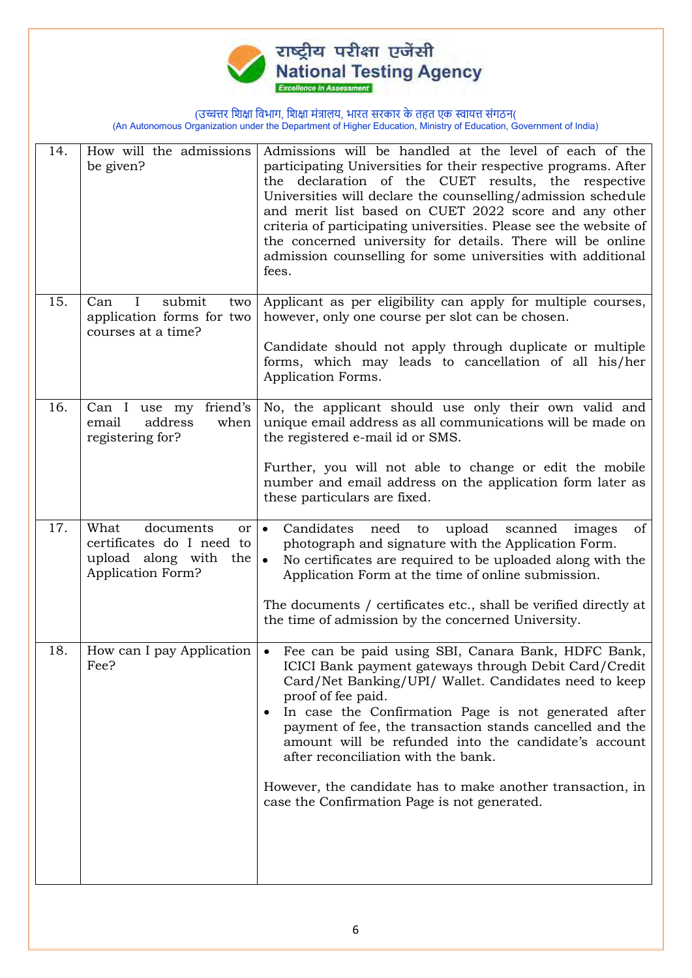

| 14. | How will the admissions<br>be given?                                                                           | Admissions will be handled at the level of each of the<br>participating Universities for their respective programs. After<br>the declaration of the CUET results, the respective<br>Universities will declare the counselling/admission schedule<br>and merit list based on CUET 2022 score and any other<br>criteria of participating universities. Please see the website of<br>the concerned university for details. There will be online<br>admission counselling for some universities with additional<br>fees.          |
|-----|----------------------------------------------------------------------------------------------------------------|-------------------------------------------------------------------------------------------------------------------------------------------------------------------------------------------------------------------------------------------------------------------------------------------------------------------------------------------------------------------------------------------------------------------------------------------------------------------------------------------------------------------------------|
| 15. | submit<br>Can<br>$\bf{I}$<br>two<br>application forms for two<br>courses at a time?                            | Applicant as per eligibility can apply for multiple courses,<br>however, only one course per slot can be chosen.<br>Candidate should not apply through duplicate or multiple<br>forms, which may leads to cancellation of all his/her<br>Application Forms.                                                                                                                                                                                                                                                                   |
| 16. | Can I use my<br>friend's<br>address<br>when<br>email<br>registering for?                                       | No, the applicant should use only their own valid and<br>unique email address as all communications will be made on<br>the registered e-mail id or SMS.<br>Further, you will not able to change or edit the mobile<br>number and email address on the application form later as<br>these particulars are fixed.                                                                                                                                                                                                               |
| 17. | What<br>documents<br>or  <br>certificates do I need to<br>upload along with<br>the<br><b>Application Form?</b> | upload<br>$\bullet$<br>Candidates<br>need<br>scanned<br>of<br>to<br>images<br>photograph and signature with the Application Form.<br>No certificates are required to be uploaded along with the<br>$\bullet$<br>Application Form at the time of online submission.<br>The documents / certificates etc., shall be verified directly at<br>the time of admission by the concerned University.                                                                                                                                  |
| 18. | How can I pay Application<br>Fee?                                                                              | • Fee can be paid using SBI, Canara Bank, HDFC Bank,<br>ICICI Bank payment gateways through Debit Card/Credit<br>Card/Net Banking/UPI/ Wallet. Candidates need to keep<br>proof of fee paid.<br>In case the Confirmation Page is not generated after<br>payment of fee, the transaction stands cancelled and the<br>amount will be refunded into the candidate's account<br>after reconciliation with the bank.<br>However, the candidate has to make another transaction, in<br>case the Confirmation Page is not generated. |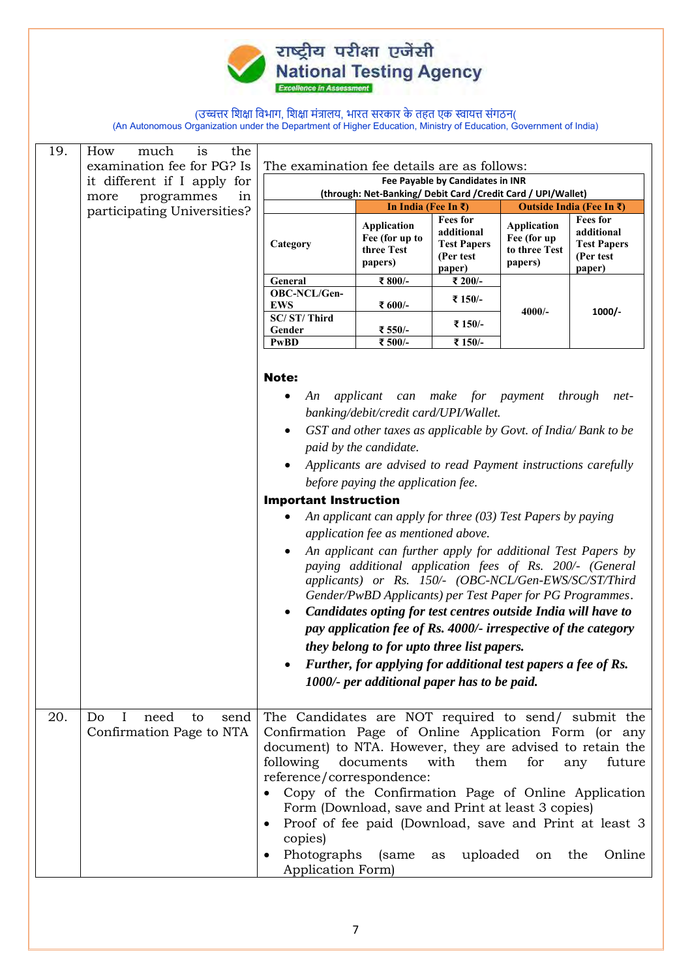

| 19.                         | How<br>much<br>is<br>the<br>examination fee for PG? Is | The examination fee details are as follows:                                                                                                                                                                      |                                                                                                                                                                                                                                                                                                                                                                                                                                                                                                                                                                                                                                                                                                                                                                                                                                                                                                                                                |                                                                            |                                                               |                                                                                                                                          |
|-----------------------------|--------------------------------------------------------|------------------------------------------------------------------------------------------------------------------------------------------------------------------------------------------------------------------|------------------------------------------------------------------------------------------------------------------------------------------------------------------------------------------------------------------------------------------------------------------------------------------------------------------------------------------------------------------------------------------------------------------------------------------------------------------------------------------------------------------------------------------------------------------------------------------------------------------------------------------------------------------------------------------------------------------------------------------------------------------------------------------------------------------------------------------------------------------------------------------------------------------------------------------------|----------------------------------------------------------------------------|---------------------------------------------------------------|------------------------------------------------------------------------------------------------------------------------------------------|
|                             | it different if I apply for                            |                                                                                                                                                                                                                  |                                                                                                                                                                                                                                                                                                                                                                                                                                                                                                                                                                                                                                                                                                                                                                                                                                                                                                                                                | Fee Payable by Candidates in INR                                           |                                                               |                                                                                                                                          |
|                             | programmes<br>in<br>more                               |                                                                                                                                                                                                                  | (through: Net-Banking/ Debit Card / Credit Card / UPI/Wallet)<br>In India (Fee In $\bar{\tau}$ )<br>Outside India (Fee In ₹)                                                                                                                                                                                                                                                                                                                                                                                                                                                                                                                                                                                                                                                                                                                                                                                                                   |                                                                            |                                                               |                                                                                                                                          |
| participating Universities? |                                                        | Category                                                                                                                                                                                                         | <b>Application</b><br>Fee (for up to<br>three Test<br>papers)                                                                                                                                                                                                                                                                                                                                                                                                                                                                                                                                                                                                                                                                                                                                                                                                                                                                                  | <b>Fees for</b><br>additional<br><b>Test Papers</b><br>(Per test<br>paper) | <b>Application</b><br>Fee (for up<br>to three Test<br>papers) | <b>Fees for</b><br>additional<br><b>Test Papers</b><br>(Per test<br>paper)                                                               |
|                             |                                                        | General                                                                                                                                                                                                          | ₹ 800/-                                                                                                                                                                                                                                                                                                                                                                                                                                                                                                                                                                                                                                                                                                                                                                                                                                                                                                                                        | ₹ 200/-                                                                    |                                                               |                                                                                                                                          |
|                             |                                                        | OBC-NCL/Gen-<br><b>EWS</b>                                                                                                                                                                                       | ₹ 600/-                                                                                                                                                                                                                                                                                                                                                                                                                                                                                                                                                                                                                                                                                                                                                                                                                                                                                                                                        | ₹ 150/-                                                                    | $4000/-$                                                      | 1000/-                                                                                                                                   |
|                             |                                                        | SC/ST/Third<br>Gender                                                                                                                                                                                            | ₹ 550/-                                                                                                                                                                                                                                                                                                                                                                                                                                                                                                                                                                                                                                                                                                                                                                                                                                                                                                                                        | ₹ 150/-                                                                    |                                                               |                                                                                                                                          |
|                             |                                                        | <b>PwBD</b>                                                                                                                                                                                                      | ₹ 500/-                                                                                                                                                                                                                                                                                                                                                                                                                                                                                                                                                                                                                                                                                                                                                                                                                                                                                                                                        | ₹ 150/-                                                                    |                                                               |                                                                                                                                          |
| 20.                         | Do<br>need<br>$\bf{I}$<br>to<br>send                   | <b>Note:</b><br>An<br><b>Important Instruction</b><br>$\bullet$<br>The Candidates are NOT required to send/ submit the                                                                                           | applicant can make for payment through<br>banking/debit/credit card/UPI/Wallet.<br>GST and other taxes as applicable by Govt. of India/ Bank to be<br>paid by the candidate.<br>Applicants are advised to read Payment instructions carefully<br>before paying the application fee.<br>An applicant can apply for three $(03)$ Test Papers by paying<br>application fee as mentioned above.<br>An applicant can further apply for additional Test Papers by<br>paying additional application fees of Rs. 200/- (General<br>applicants) or Rs. 150/- (OBC-NCL/Gen-EWS/SC/ST/Third<br>Gender/PwBD Applicants) per Test Paper for PG Programmes.<br>Candidates opting for test centres outside India will have to<br>pay application fee of Rs. 4000/- irrespective of the category<br>they belong to for upto three list papers.<br>Further, for applying for additional test papers a fee of Rs.<br>1000/- per additional paper has to be paid. |                                                                            |                                                               | net-                                                                                                                                     |
|                             | Confirmation Page to NTA                               | Confirmation Page of Online Application Form (or any<br>document) to NTA. However, they are advised to retain the<br>following<br>reference/correspondence:<br>copies)<br>Photographs (same<br>Application Form) | documents<br>Form (Download, save and Print at least 3 copies)                                                                                                                                                                                                                                                                                                                                                                                                                                                                                                                                                                                                                                                                                                                                                                                                                                                                                 | them<br>with<br>as uploaded on the                                         | for                                                           | future<br>any<br>Copy of the Confirmation Page of Online Application<br>Proof of fee paid (Download, save and Print at least 3<br>Online |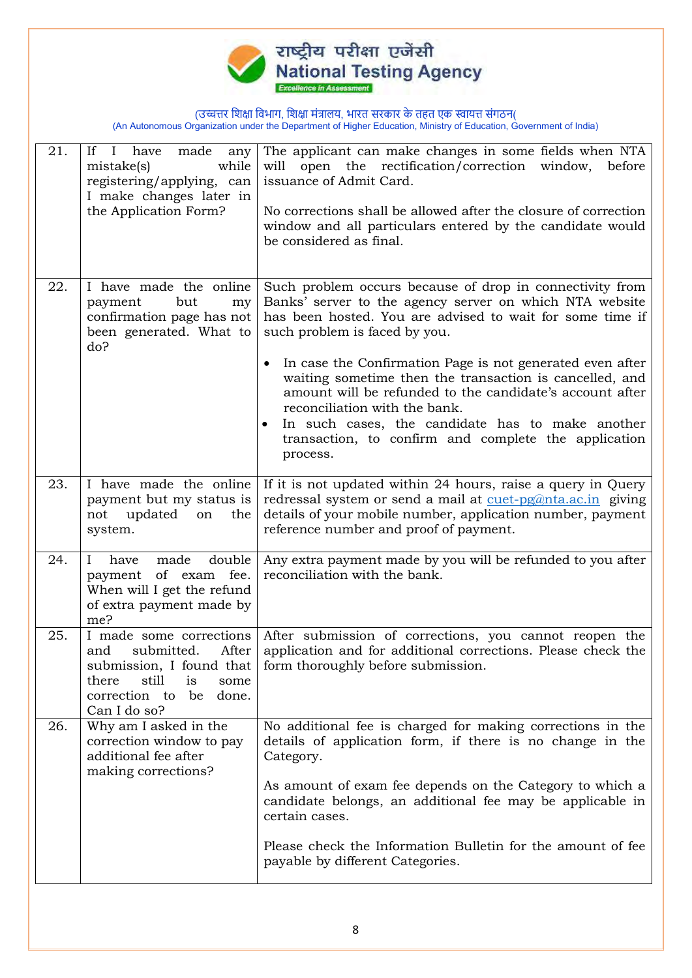

| 21. | If $I$<br>have<br>made<br>any<br>while<br>mistake(s)<br>registering/applying, can<br>I make changes later in<br>the Application Form?                                    | The applicant can make changes in some fields when NTA<br>open the rectification/correction window, before<br>will<br>issuance of Admit Card.<br>No corrections shall be allowed after the closure of correction<br>window and all particulars entered by the candidate would<br>be considered as final.                                                                                                                                                                                                                                                       |
|-----|--------------------------------------------------------------------------------------------------------------------------------------------------------------------------|----------------------------------------------------------------------------------------------------------------------------------------------------------------------------------------------------------------------------------------------------------------------------------------------------------------------------------------------------------------------------------------------------------------------------------------------------------------------------------------------------------------------------------------------------------------|
| 22. | I have made the online<br>but<br>payment<br>my<br>confirmation page has not<br>been generated. What to<br>do?                                                            | Such problem occurs because of drop in connectivity from<br>Banks' server to the agency server on which NTA website<br>has been hosted. You are advised to wait for some time if<br>such problem is faced by you.<br>In case the Confirmation Page is not generated even after<br>waiting sometime then the transaction is cancelled, and<br>amount will be refunded to the candidate's account after<br>reconciliation with the bank.<br>In such cases, the candidate has to make another<br>transaction, to confirm and complete the application<br>process. |
| 23. | I have made the online<br>payment but my status is<br>updated<br>not<br>the<br>on<br>system.                                                                             | If it is not updated within 24 hours, raise a query in Query<br>redressal system or send a mail at cuet-pg@nta.ac.in giving<br>details of your mobile number, application number, payment<br>reference number and proof of payment.                                                                                                                                                                                                                                                                                                                            |
| 24. | have<br>made<br>double<br>L<br>of exam<br>fee.<br>payment<br>When will I get the refund<br>of extra payment made by<br>me?                                               | Any extra payment made by you will be refunded to you after<br>reconciliation with the bank.                                                                                                                                                                                                                                                                                                                                                                                                                                                                   |
| 25. | I made some corrections<br>After<br>submitted.<br>and<br>submission, I found that<br>still<br>there<br><i>is</i><br>some<br>correction to<br>be<br>done.<br>Can I do so? | After submission of corrections, you cannot reopen the<br>application and for additional corrections. Please check the<br>form thoroughly before submission.                                                                                                                                                                                                                                                                                                                                                                                                   |
| 26. | Why am I asked in the<br>correction window to pay<br>additional fee after<br>making corrections?                                                                         | No additional fee is charged for making corrections in the<br>details of application form, if there is no change in the<br>Category.<br>As amount of exam fee depends on the Category to which a<br>candidate belongs, an additional fee may be applicable in<br>certain cases.<br>Please check the Information Bulletin for the amount of fee<br>payable by different Categories.                                                                                                                                                                             |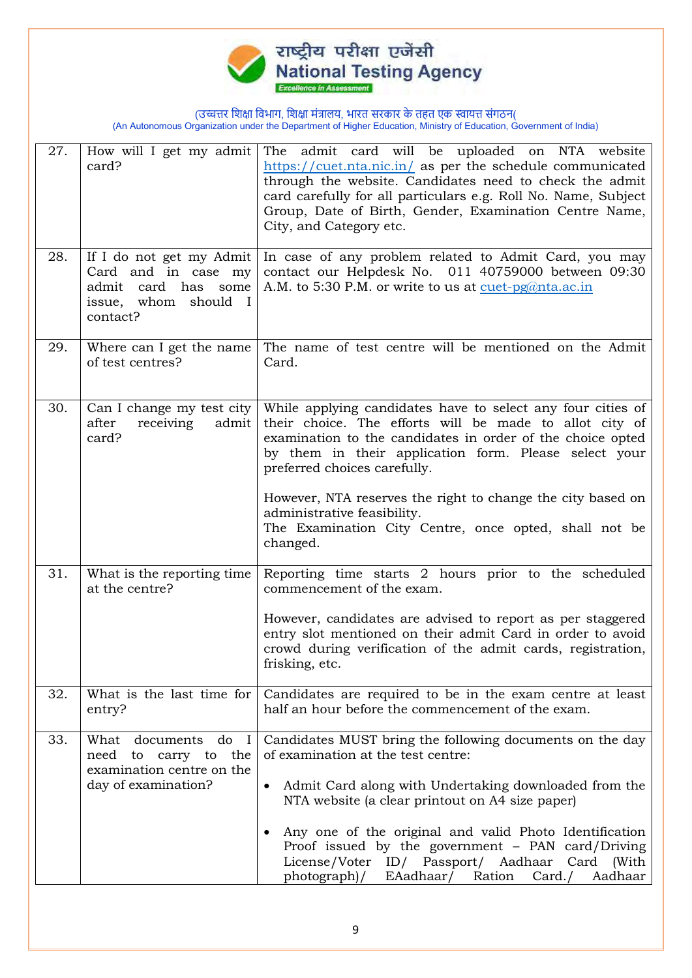

| 27. | How will I get my admit<br>card?                                                                                 | The admit card will be uploaded on NTA website<br>$\frac{https://cuet.nta.nic.in/}{https://cuet.nta.nic.in/}$ as per the schedule communicated<br>through the website. Candidates need to check the admit<br>card carefully for all particulars e.g. Roll No. Name, Subject<br>Group, Date of Birth, Gender, Examination Centre Name,<br>City, and Category etc.                                                                                        |
|-----|------------------------------------------------------------------------------------------------------------------|---------------------------------------------------------------------------------------------------------------------------------------------------------------------------------------------------------------------------------------------------------------------------------------------------------------------------------------------------------------------------------------------------------------------------------------------------------|
| 28. | If I do not get my Admit<br>Card and in case my<br>card has<br>admit<br>some<br>issue, whom should I<br>contact? | In case of any problem related to Admit Card, you may<br>contact our Helpdesk No. 011 40759000 between 09:30<br>A.M. to 5:30 P.M. or write to us at cuet-pg@nta.ac.in                                                                                                                                                                                                                                                                                   |
| 29. | Where can I get the name<br>of test centres?                                                                     | The name of test centre will be mentioned on the Admit<br>Card.                                                                                                                                                                                                                                                                                                                                                                                         |
| 30. | Can I change my test city<br>after<br>receiving<br>admit<br>card?                                                | While applying candidates have to select any four cities of<br>their choice. The efforts will be made to allot city of<br>examination to the candidates in order of the choice opted<br>by them in their application form. Please select your<br>preferred choices carefully.                                                                                                                                                                           |
|     |                                                                                                                  | However, NTA reserves the right to change the city based on<br>administrative feasibility.<br>The Examination City Centre, once opted, shall not be<br>changed.                                                                                                                                                                                                                                                                                         |
| 31. | What is the reporting time.<br>at the centre?                                                                    | Reporting time starts 2 hours prior to the scheduled<br>commencement of the exam.<br>However, candidates are advised to report as per staggered<br>entry slot mentioned on their admit Card in order to avoid<br>crowd during verification of the admit cards, registration,<br>frisking, etc.                                                                                                                                                          |
| 32. | What is the last time for<br>entry?                                                                              | Candidates are required to be in the exam centre at least<br>half an hour before the commencement of the exam.                                                                                                                                                                                                                                                                                                                                          |
| 33. | What documents<br>do I<br>need to carry to the<br>examination centre on the<br>day of examination?               | Candidates MUST bring the following documents on the day<br>of examination at the test centre:<br>Admit Card along with Undertaking downloaded from the<br>$\bullet$<br>NTA website (a clear printout on A4 size paper)<br>Any one of the original and valid Photo Identification<br>Proof issued by the government - PAN card/Driving<br>License/Voter ID/ Passport/ Aadhaar<br>Card<br>(With<br>EAadhaar/ Ration<br>photograph)/<br>Card./<br>Aadhaar |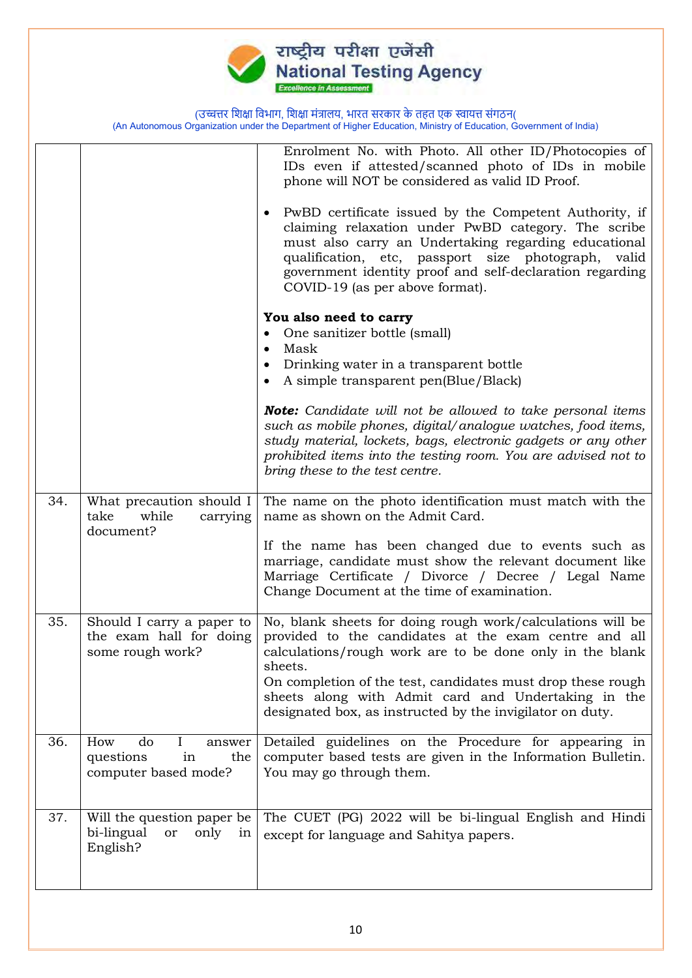

|     |                                                                                 | Enrolment No. with Photo. All other ID/Photocopies of<br>IDs even if attested/scanned photo of IDs in mobile<br>phone will NOT be considered as valid ID Proof.<br>PwBD certificate issued by the Competent Authority, if<br>claiming relaxation under PwBD category. The scribe<br>must also carry an Undertaking regarding educational<br>qualification, etc, passport size photograph, valid<br>government identity proof and self-declaration regarding<br>COVID-19 (as per above format).<br>You also need to carry<br>One sanitizer bottle (small)<br>Mask<br>$\bullet$<br>Drinking water in a transparent bottle<br>A simple transparent pen(Blue/Black)<br><b>Note:</b> Candidate will not be allowed to take personal items<br>such as mobile phones, digital/analogue watches, food items,<br>study material, lockets, bags, electronic gadgets or any other<br>prohibited items into the testing room. You are advised not to<br>bring these to the test centre. |
|-----|---------------------------------------------------------------------------------|-----------------------------------------------------------------------------------------------------------------------------------------------------------------------------------------------------------------------------------------------------------------------------------------------------------------------------------------------------------------------------------------------------------------------------------------------------------------------------------------------------------------------------------------------------------------------------------------------------------------------------------------------------------------------------------------------------------------------------------------------------------------------------------------------------------------------------------------------------------------------------------------------------------------------------------------------------------------------------|
| 34. | What precaution should I<br>take<br>while<br>carrying<br>document?              | The name on the photo identification must match with the<br>name as shown on the Admit Card.<br>If the name has been changed due to events such as<br>marriage, candidate must show the relevant document like<br>Marriage Certificate / Divorce / Decree / Legal Name<br>Change Document at the time of examination.                                                                                                                                                                                                                                                                                                                                                                                                                                                                                                                                                                                                                                                       |
| 35. | Should I carry a paper to<br>the exam hall for doing<br>some rough work?        | No, blank sheets for doing rough work/calculations will be<br>provided to the candidates at the exam centre and all<br>calculations/rough work are to be done only in the blank<br>sheets.<br>On completion of the test, candidates must drop these rough<br>sheets along with Admit card and Undertaking in the<br>designated box, as instructed by the invigilator on duty.                                                                                                                                                                                                                                                                                                                                                                                                                                                                                                                                                                                               |
| 36. | How<br>do<br>Ι<br>answer<br>questions<br>in<br>the<br>computer based mode?      | Detailed guidelines on the Procedure for appearing in<br>computer based tests are given in the Information Bulletin.<br>You may go through them.                                                                                                                                                                                                                                                                                                                                                                                                                                                                                                                                                                                                                                                                                                                                                                                                                            |
| 37. | Will the question paper be<br>bi-lingual<br>only<br><b>or</b><br>in<br>English? | The CUET (PG) 2022 will be bi-lingual English and Hindi<br>except for language and Sahitya papers.                                                                                                                                                                                                                                                                                                                                                                                                                                                                                                                                                                                                                                                                                                                                                                                                                                                                          |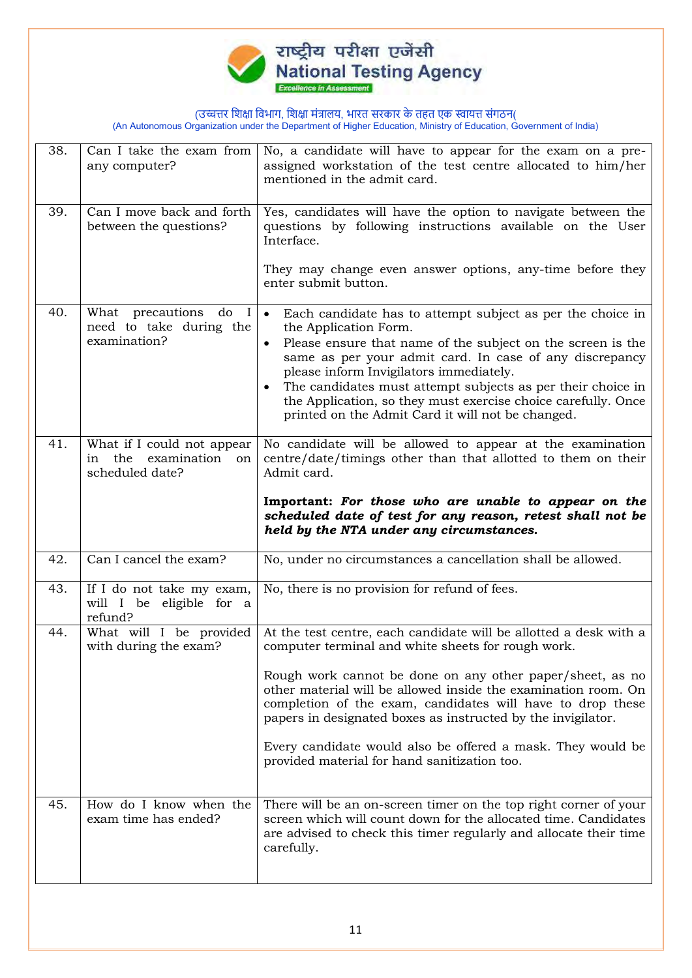

| 38. | Can I take the exam from<br>any computer?                                         | No, a candidate will have to appear for the exam on a pre-<br>assigned workstation of the test centre allocated to him/her<br>mentioned in the admit card.                                                                                                                                                                                                                                                                                                                                          |
|-----|-----------------------------------------------------------------------------------|-----------------------------------------------------------------------------------------------------------------------------------------------------------------------------------------------------------------------------------------------------------------------------------------------------------------------------------------------------------------------------------------------------------------------------------------------------------------------------------------------------|
| 39. | Can I move back and forth<br>between the questions?                               | Yes, candidates will have the option to navigate between the<br>questions by following instructions available on the User<br>Interface.<br>They may change even answer options, any-time before they<br>enter submit button.                                                                                                                                                                                                                                                                        |
| 40. | What precautions<br>do<br>$\mathbf{I}$<br>need to take during the<br>examination? | $\bullet$<br>Each candidate has to attempt subject as per the choice in<br>the Application Form.<br>Please ensure that name of the subject on the screen is the<br>$\bullet$<br>same as per your admit card. In case of any discrepancy<br>please inform Invigilators immediately.<br>The candidates must attempt subjects as per their choice in<br>$\bullet$<br>the Application, so they must exercise choice carefully. Once<br>printed on the Admit Card it will not be changed.                |
| 41. | What if I could not appear<br>in the examination<br>on<br>scheduled date?         | No candidate will be allowed to appear at the examination<br>centre/date/timings other than that allotted to them on their<br>Admit card.<br>Important: For those who are unable to appear on the<br>scheduled date of test for any reason, retest shall not be<br>held by the NTA under any circumstances.                                                                                                                                                                                         |
| 42. | Can I cancel the exam?                                                            | No, under no circumstances a cancellation shall be allowed.                                                                                                                                                                                                                                                                                                                                                                                                                                         |
| 43. | If I do not take my exam,<br>will I be eligible for a<br>refund?                  | No, there is no provision for refund of fees.                                                                                                                                                                                                                                                                                                                                                                                                                                                       |
| 44. | What will I be provided<br>with during the exam?                                  | At the test centre, each candidate will be allotted a desk with a<br>computer terminal and white sheets for rough work.<br>Rough work cannot be done on any other paper/sheet, as no<br>other material will be allowed inside the examination room. On<br>completion of the exam, candidates will have to drop these<br>papers in designated boxes as instructed by the invigilator.<br>Every candidate would also be offered a mask. They would be<br>provided material for hand sanitization too. |
| 45. | How do I know when the<br>exam time has ended?                                    | There will be an on-screen timer on the top right corner of your<br>screen which will count down for the allocated time. Candidates<br>are advised to check this timer regularly and allocate their time<br>carefully.                                                                                                                                                                                                                                                                              |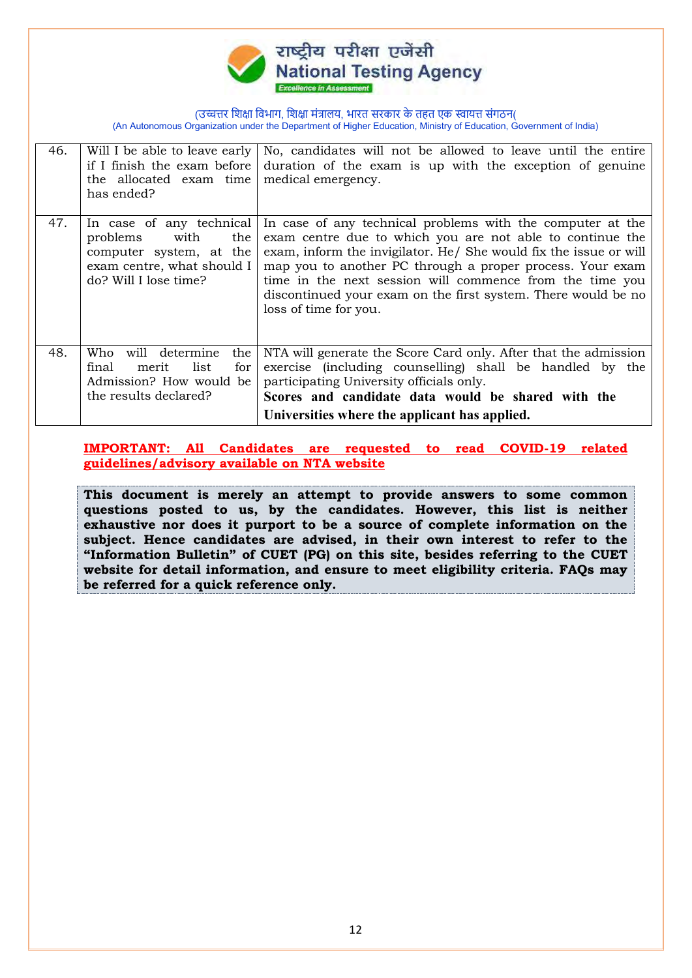

| 46. | Will I be able to leave early<br>if I finish the exam before<br>the allocated exam time<br>has ended?                                 | No, candidates will not be allowed to leave until the entire<br>duration of the exam is up with the exception of genuine<br>medical emergency.                                                                                                                                                                                                                                                                  |
|-----|---------------------------------------------------------------------------------------------------------------------------------------|-----------------------------------------------------------------------------------------------------------------------------------------------------------------------------------------------------------------------------------------------------------------------------------------------------------------------------------------------------------------------------------------------------------------|
| 47. | In case of any technical<br>the<br>problems<br>with<br>computer system, at the<br>exam centre, what should I<br>do? Will I lose time? | In case of any technical problems with the computer at the<br>exam centre due to which you are not able to continue the<br>exam, inform the invigilator. He/ She would fix the issue or will<br>map you to another PC through a proper process. Your exam<br>time in the next session will commence from the time you<br>discontinued your exam on the first system. There would be no<br>loss of time for you. |
| 48. | will determine<br>Who<br>the<br>final<br>list<br>for<br>merit<br>Admission? How would be<br>the results declared?                     | NTA will generate the Score Card only. After that the admission<br>exercise (including counselling) shall be handled by the<br>participating University officials only.<br>Scores and candidate data would be shared with the<br>Universities where the applicant has applied.                                                                                                                                  |

**IMPORTANT: All Candidates are requested to read COVID-19 related guidelines/advisory available on NTA website** 

**This document is merely an attempt to provide answers to some common questions posted to us, by the candidates. However, this list is neither exhaustive nor does it purport to be a source of complete information on the subject. Hence candidates are advised, in their own interest to refer to the "Information Bulletin" of CUET (PG) on this site, besides referring to the CUET website for detail information, and ensure to meet eligibility criteria. FAQs may be referred for a quick reference only.**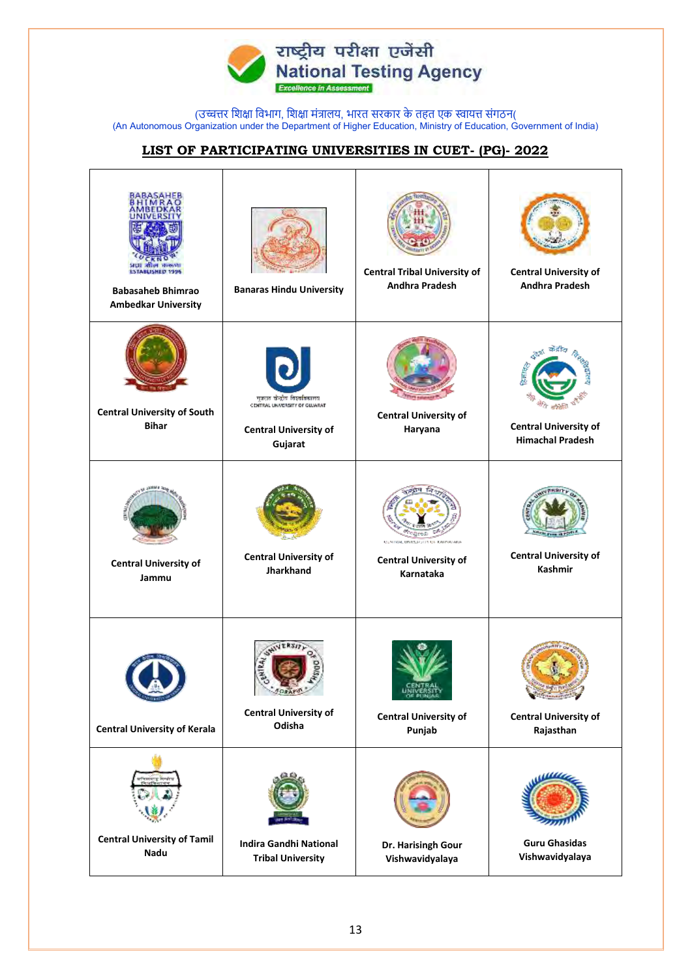

## **LIST OF PARTICIPATING UNIVERSITIES IN CUET- (PG)- 2022**

| ESTABLISHED 1996<br><b>Babasaheb Bhimrao</b><br><b>Ambedkar University</b> | <b>Banaras Hindu University</b>                                                                          | <b>Central Tribal University of</b><br>Andhra Pradesh                                               | <b>Central University of</b><br><b>Andhra Pradesh</b>              |
|----------------------------------------------------------------------------|----------------------------------------------------------------------------------------------------------|-----------------------------------------------------------------------------------------------------|--------------------------------------------------------------------|
| <b>Central University of South</b><br><b>Bihar</b>                         | गुजरात खेळ्रांव विश्वविद्याल<br>CENTRAL UNIVERSITY OF GUJARAT<br><b>Central University of</b><br>Gujarat | <b>Central University of</b><br>Haryana                                                             | ਰਾਸ਼ੇਗਟ<br><b>Central University of</b><br><b>Himachal Pradesh</b> |
| <b>Central University of</b><br>Jammu                                      | <b>Central University of</b><br><b>Jharkhand</b>                                                         | <b>STELL BALENBEARIN</b><br><b>CONTRACTOR CONTRACT</b><br><b>Central University of</b><br>Karnataka | <b>Central University of</b><br><b>Kashmir</b>                     |
| <b>Central University of Kerala</b>                                        | L<br><b>CONTRAL</b><br><b>Central University of</b><br>Odisha                                            | OF PUNJAR<br><b>Central University of</b><br>Punjab                                                 | <b>Central University of</b><br>Rajasthan                          |
| <b>Central University of Tamil</b><br>Nadu                                 | <b>Indira Gandhi National</b><br><b>Tribal University</b>                                                | Dr. Harisingh Gour<br>Vishwavidyalaya                                                               | <b>Guru Ghasidas</b><br>Vishwavidyalaya                            |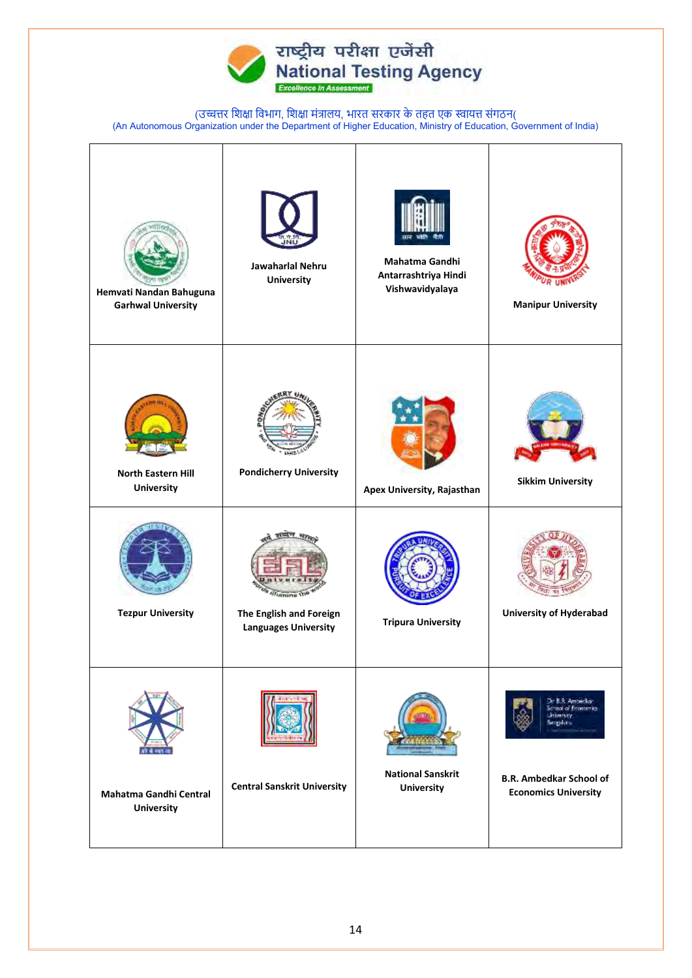

| Hemvati Nandan Bahuguna<br><b>Garhwal University</b> | Jawaharlal Nehru<br><b>University</b>                           | Mahatma Gandhi<br>Antarrashtriya Hindi<br>Vishwavidyalaya | <b>Manipur University</b>                                                                                                                  |
|------------------------------------------------------|-----------------------------------------------------------------|-----------------------------------------------------------|--------------------------------------------------------------------------------------------------------------------------------------------|
| <b>North Eastern Hill</b><br><b>University</b>       | <b>Pondicherry University</b>                                   | Apex University, Rajasthan                                | <b>Sikkim University</b>                                                                                                                   |
| <b>Tezpur University</b>                             | wnine<br>The English and Foreign<br><b>Languages University</b> | <b>Tripura University</b>                                 | <b>University of Hyderabad</b>                                                                                                             |
| Mahatma Gandhi Central<br><b>University</b>          | <b>Central Sanskrit University</b>                              | <b>National Sanskrit</b><br><b>University</b>             | Dr B.R. Amberkar<br>School of Economics<br>University<br><b>Bergslorn</b><br><b>B.R. Ambedkar School of</b><br><b>Economics University</b> |